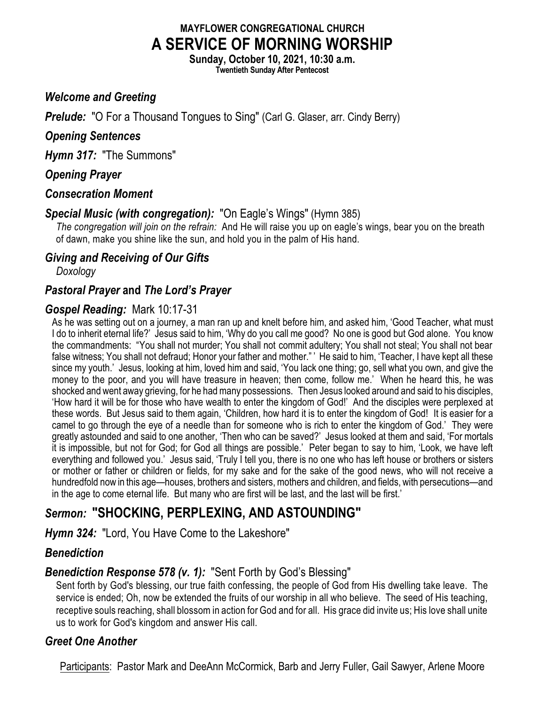# **MAYFLOWER CONGREGATIONAL CHURCH A SERVICE OF MORNING WORSHIP**

**Sunday, October 10, 2021, 10:30 a.m. Twentieth Sunday After Pentecost**

#### *Welcome and Greeting*

**Prelude:** "O For a Thousand Tongues to Sing" (Carl G. Glaser, arr. Cindy Berry)

#### *Opening Sentences*

*Hymn 317:* "The Summons"

## *Opening Prayer*

#### *Consecration Moment*

#### *Special Music (with congregation):* "On Eagle's Wings" (Hymn 385)

*The congregation will join on the refrain:* And He will raise you up on eagle's wings, bear you on the breath of dawn, make you shine like the sun, and hold you in the palm of His hand.

#### *Giving and Receiving of Our Gifts*

*Doxology*

## *Pastoral Prayer* **and** *The Lord's Prayer*

## *Gospel Reading:* Mark 10:17-31

As he was setting out on a journey, a man ran up and knelt before him, and asked him, 'Good Teacher, what must I do to inherit eternal life?' Jesus said to him, 'Why do you call me good? No one is good but God alone. You know the commandments: "You shall not murder; You shall not commit adultery; You shall not steal; You shall not bear false witness; You shall not defraud; Honor your father and mother." ' He said to him, 'Teacher, I have kept all these since my youth.' Jesus, looking at him, loved him and said, 'You lack one thing; go, sell what you own, and give the money to the poor, and you will have treasure in heaven; then come, follow me.' When he heard this, he was shocked and went away grieving, for he had many possessions. Then Jesus looked around and said to his disciples, 'How hard it will be for those who have wealth to enter the kingdom of God!' And the disciples were perplexed at these words. But Jesus said to them again, 'Children, how hard it is to enter the kingdom of God! It is easier for a camel to go through the eye of a needle than for someone who is rich to enter the kingdom of God.' They were greatly astounded and said to one another, 'Then who can be saved?' Jesus looked at them and said, 'For mortals it is impossible, but not for God; for God all things are possible.' Peter began to say to him, 'Look, we have left everything and followed you.' Jesus said, 'Truly I tell you, there is no one who has left house or brothers or sisters or mother or father or children or fields, for my sake and for the sake of the good news, who will not receive a hundredfold now in this age—houses, brothers and sisters, mothers and children, and fields, with persecutions—and in the age to come eternal life. But many who are first will be last, and the last will be first.'

# *Sermon:* **"SHOCKING, PERPLEXING, AND ASTOUNDING"**

*Hymn 324:* "Lord, You Have Come to the Lakeshore"

## *Benediction*

## *Benediction Response 578 (v. 1):* "Sent Forth by God's Blessing"

Sent forth by God's blessing, our true faith confessing, the people of God from His dwelling take leave. The service is ended; Oh, now be extended the fruits of our worship in all who believe. The seed of His teaching, receptive souls reaching, shall blossom in action for God and for all. His grace did invite us; His love shall unite us to work for God's kingdom and answer His call.

## *Greet One Another*

Participants: Pastor Mark and DeeAnn McCormick, Barb and Jerry Fuller, Gail Sawyer, Arlene Moore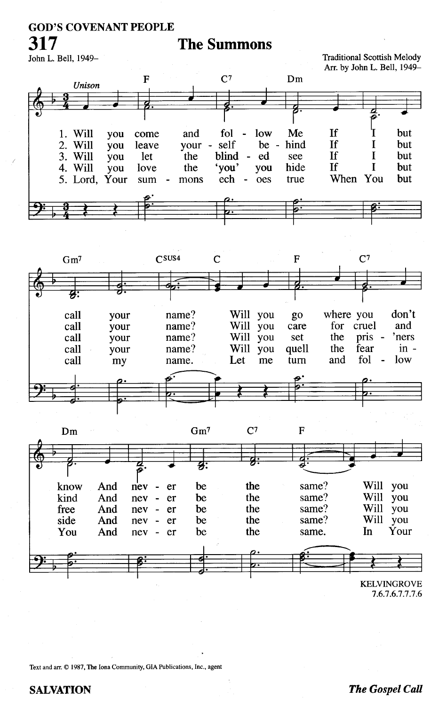## **GOD'S COVENANT PEOPLE**

# **The Summons**

John L. Bell, 1949-

317

#### **Traditional Scottish Melody** Arr. by John L. Bell, 1949-







<sup>7.6.7.6.7.7.7.6</sup> 

Text and arr. © 1987, The Iona Community, GIA Publications, Inc., agent

#### **SALVATION**

#### **The Gospel Call**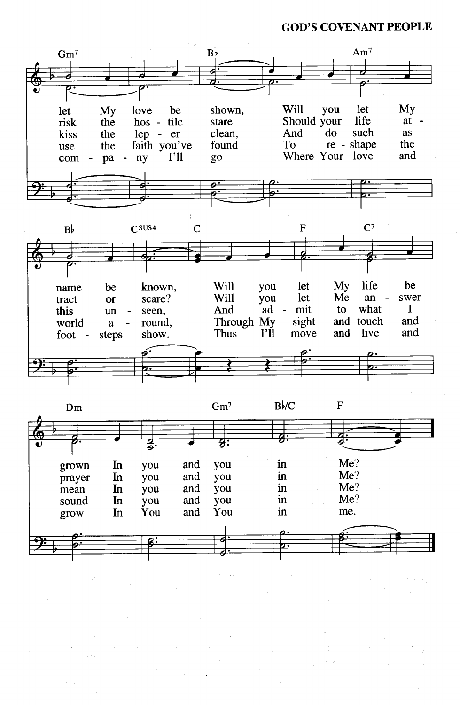**GOD'S COVENANT PEOPLE** 

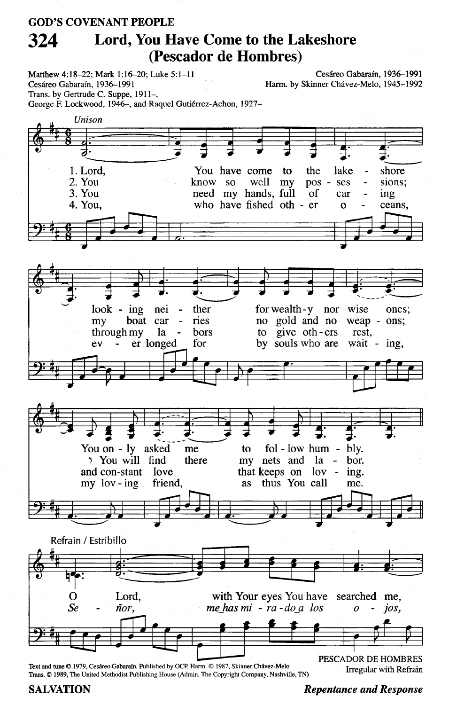#### **GOD'S COVENANT PEOPLE** Lord, You Have Come to the Lakeshore 324 (Pescador de Hombres)

Matthew 4:18-22; Mark 1:16-20; Luke 5:1-11 Cesáreo Gabaraín, 1936-1991 Trans. by Gertrude C. Suppe, 1911-,

George F. Lockwood, 1946-, and Raquel Gutiérrez-Achon, 1927-

Cesáreo Gabaraín. 1936-1991 Harm. by Skinner Chávez-Melo, 1945-1992

Unison a 1. Lord, You have come to the lake shore 2. You know so well  $my$ pos sions; ses 3. You need my hands, full of car ing who have fished oth - er 4. You, ceans,  $\Omega$  $look - ing$ for wealth-y nor wise nei ther ones; ries no gold and no boat car weap - ons; my through my la bors to give oth-ers rest. er longed for by souls who are wait -  $ing$ ,  $ev$ You on - ly asked  $fol - low hum$ bly. me to 7 You will find there my nets and la bor. and con-stant love that keeps on lov ing. thus You call  $my$  lov - ing friend, as me. Refrain / Estribillo Lord, with Your eyes You have searched me, O  $S_{\ell}$ ñor. me has  $mi - ra - do a$  los ios.  $\overline{o}$ 

Text and tune © 1979. Cesáreo Gabaraín. Published by OCP. Harm. © 1987. Skinner Chávez-Melo Trans. © 1989, The United Methodist Publishing House (Admin. The Copyright Company, Nashville, TN) PESCADOR DE HOMBRES **Irregular with Refrain** 

#### **SALVATION**

**Repentance and Response**